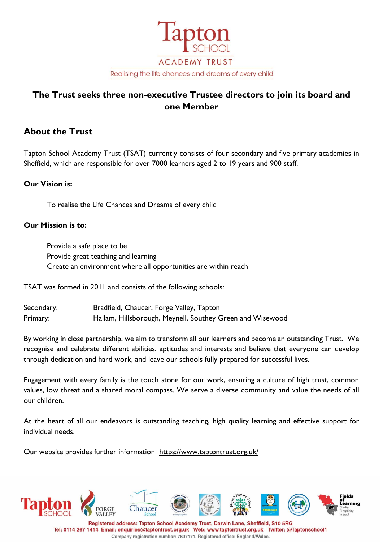

# **The Trust seeks three non-executive Trustee directors to join its board and one Member**

## **About the Trust**

Tapton School Academy Trust (TSAT) currently consists of four secondary and five primary academies in Sheffield, which are responsible for over 7000 learners aged 2 to 19 years and 900 staff.

### **Our Vision is:**

To realise the Life Chances and Dreams of every child

### **Our Mission is to:**

Provide a safe place to be Provide great teaching and learning Create an environment where all opportunities are within reach

TSAT was formed in 2011 and consists of the following schools:

Secondary: Bradfield, Chaucer, Forge Valley, Tapton Primary: Hallam, Hillsborough, Meynell, Southey Green and Wisewood

By working in close partnership, we aim to transform all our learners and become an outstanding Trust. We recognise and celebrate different abilities, aptitudes and interests and believe that everyone can develop through dedication and hard work, and leave our schools fully prepared for successful lives.

Engagement with every family is the touch stone for our work, ensuring a culture of high trust, common values, low threat and a shared moral compass. We serve a diverse community and value the needs of all our children.

At the heart of all our endeavors is outstanding teaching, high quality learning and effective support for individual needs.

Our website provides further information <https://www.taptontrust.org.uk/>



Company registration number: 7697171. Registered office: England/Wales.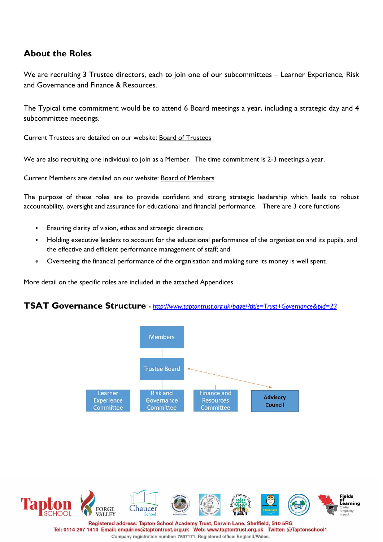## **About the Roles**

We are recruiting 3 Trustee directors, each to join one of our subcommittees – Learner Experience, Risk and Governance and Finance & Resources.

The Typical time commitment would be to attend 6 Board meetings a year, including a strategic day and 4 subcommittee meetings.

Current Trustees are detailed on our website: [Board of Trustees](https://www.taptontrust.org.uk/page/?title=Board+of+Trustees&pid=30)

We are also recruiting one individual to join as a Member. The time commitment is 2-3 meetings a year.

Current Members are detailed on our website: [Board of Members](https://www.taptontrust.org.uk/page/?title=Members+of+the+Trust&pid=32)

The purpose of these roles are to provide confident and strong strategic leadership which leads to robust accountability, oversight and assurance for educational and financial performance. There are 3 core functions

- Ensuring clarity of vision, ethos and strategic direction;
- Holding executive leaders to account for the educational performance of the organisation and its pupils, and the effective and efficient performance management of staff; and
- Overseeing the financial performance of the organisation and making sure its money is well spent.

More detail on the specific roles are included in the attached Appendices.

### **TSAT Governance Structure -** *<http://www.taptontrust.org.uk/page/?title=Trust+Governance&pid=23>*



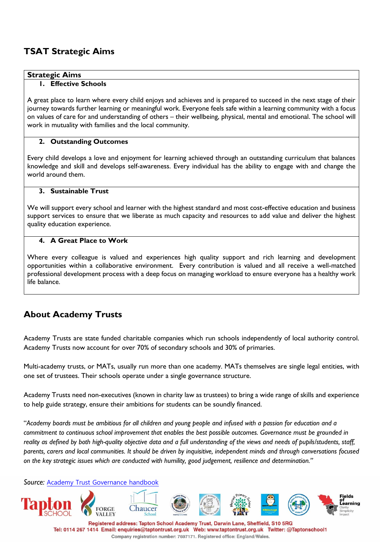## **TSAT Strategic Aims**

### **Strategic Aims**

### **1. Effective Schools**

A great place to learn where every child enjoys and achieves and is prepared to succeed in the next stage of their journey towards further learning or meaningful work. Everyone feels safe within a learning community with a focus on values of care for and understanding of others – their wellbeing, physical, mental and emotional. The school will work in mutuality with families and the local community.

### **2. Outstanding Outcomes**

Every child develops a love and enjoyment for learning achieved through an outstanding curriculum that balances knowledge and skill and develops self-awareness. Every individual has the ability to engage with and change the world around them.

### **3. Sustainable Trust**

We will support every school and learner with the highest standard and most cost-effective education and business support services to ensure that we liberate as much capacity and resources to add value and deliver the highest quality education experience.

### **4. A Great Place to Work**

Where every colleague is valued and experiences high quality support and rich learning and development opportunities within a collaborative environment. Every contribution is valued and all receive a well-matched professional development process with a deep focus on managing workload to ensure everyone has a healthy work life balance.

# **About Academy Trusts**

Academy Trusts are state funded charitable companies which run schools independently of local authority control. Academy Trusts now account for over 70% of secondary schools and 30% of primaries.

Multi-academy trusts, or MATs, usually run more than one academy. MATs themselves are single legal entities, with one set of trustees. Their schools operate under a single governance structure.

Academy Trusts need non-executives (known in charity law as trustees) to bring a wide range of skills and experience to help guide strategy, ensure their ambitions for students can be soundly financed.

"*Academy boards must be ambitious for all children and young people and infused with a passion for education and a commitment to continuous school improvement that enables the best possible outcomes. Governance must be grounded in reality as defined by both high-quality objective data and a full understanding of the views and needs of pupils/students, staff, parents, carers and local communities. It should be driven by inquisitive, independent minds and through conversations focused on the key strategic issues which are conducted with humility, good judgement, resilience and determination."*

*Source:* [Academy Trust Governance handbook](https://assets.publishing.service.gov.uk/government/uploads/system/uploads/attachment_data/file/788234/governance_handbook_2019.pdf)

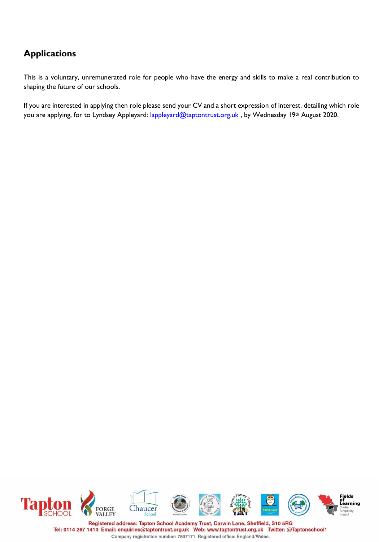# **Applications**

This is a voluntary, unremunerated role for people who have the energy and skills to make a real contribution to shaping the future of our schools.

If you are interested in applying then role please send your CV and a short expression of interest, detailing which role you are applying, for to Lyndsey Appleyard: [lappleyard@taptontrust.org.uk](mailto:lappleyard@taptontrust.org.uk), by Wednesday 19th August 2020.

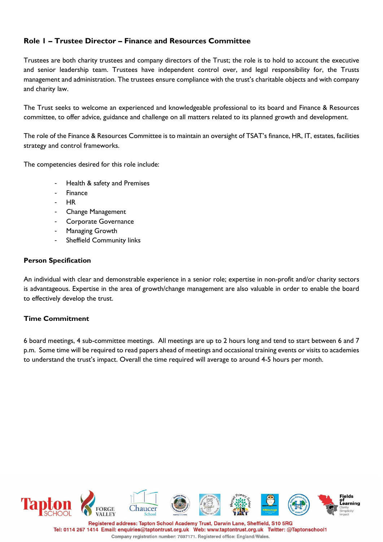### **Role 1 – Trustee Director – Finance and Resources Committee**

Trustees are both charity trustees and company directors of the Trust; the role is to hold to account the executive and senior leadership team. Trustees have independent control over, and legal responsibility for, the Trusts management and administration. The trustees ensure compliance with the trust's charitable objects and with company and charity law.

The Trust seeks to welcome an experienced and knowledgeable professional to its board and Finance & Resources committee, to offer advice, guidance and challenge on all matters related to its planned growth and development.

The role of the Finance & Resources Committee is to maintain an oversight of TSAT's finance, HR, IT, estates, facilities strategy and control frameworks.

The competencies desired for this role include:

- Health & safety and Premises
- **Finance**
- HR
- Change Management
- Corporate Governance
- Managing Growth
- Sheffield Community links

### **Person Specification**

An individual with clear and demonstrable experience in a senior role; expertise in non-profit and/or charity sectors is advantageous. Expertise in the area of growth/change management are also valuable in order to enable the board to effectively develop the trust.

### **Time Commitment**

6 board meetings, 4 sub-committee meetings. All meetings are up to 2 hours long and tend to start between 6 and 7 p.m. Some time will be required to read papers ahead of meetings and occasional training events or visits to academies to understand the trust's impact. Overall the time required will average to around 4-5 hours per month.

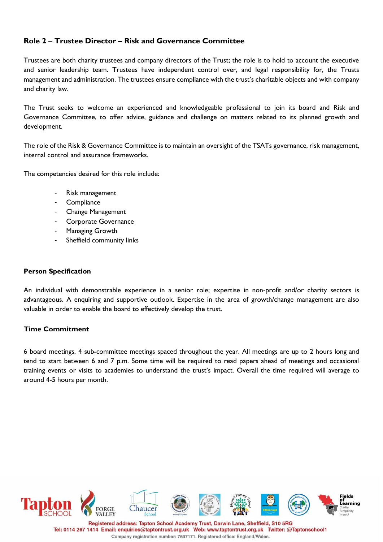### **Role 2** – **Trustee Director – Risk and Governance Committee**

Trustees are both charity trustees and company directors of the Trust; the role is to hold to account the executive and senior leadership team. Trustees have independent control over, and legal responsibility for, the Trusts management and administration. The trustees ensure compliance with the trust's charitable objects and with company and charity law.

The Trust seeks to welcome an experienced and knowledgeable professional to join its board and Risk and Governance Committee, to offer advice, guidance and challenge on matters related to its planned growth and development.

The role of the Risk & Governance Committee is to maintain an oversight of the TSATs governance, risk management, internal control and assurance frameworks.

The competencies desired for this role include:

- Risk management
- **Compliance**
- Change Management
- Corporate Governance
- Managing Growth
- Sheffield community links

#### **Person Specification**

An individual with demonstrable experience in a senior role; expertise in non-profit and/or charity sectors is advantageous. A enquiring and supportive outlook. Expertise in the area of growth/change management are also valuable in order to enable the board to effectively develop the trust.

### **Time Commitment**

6 board meetings, 4 sub-committee meetings spaced throughout the year. All meetings are up to 2 hours long and tend to start between 6 and 7 p.m. Some time will be required to read papers ahead of meetings and occasional training events or visits to academies to understand the trust's impact. Overall the time required will average to around 4-5 hours per month.



Tel: 0114 267 1414 Email: enquiries@taptontrust.org.uk Web: www.taptontrust.org.uk Twitter: @Taptonschool1 Company registration number: 7697171. Registered office: England/Wales.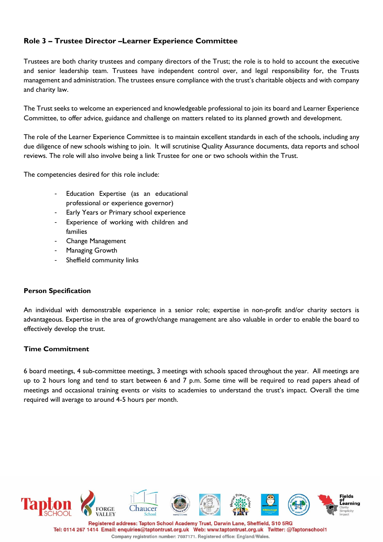### **Role 3 – Trustee Director –Learner Experience Committee**

Trustees are both charity trustees and company directors of the Trust; the role is to hold to account the executive and senior leadership team. Trustees have independent control over, and legal responsibility for, the Trusts management and administration. The trustees ensure compliance with the trust's charitable objects and with company and charity law.

The Trust seeks to welcome an experienced and knowledgeable professional to join its board and Learner Experience Committee, to offer advice, guidance and challenge on matters related to its planned growth and development.

The role of the Learner Experience Committee is to maintain excellent standards in each of the schools, including any due diligence of new schools wishing to join. It will scrutinise Quality Assurance documents, data reports and school reviews. The role will also involve being a link Trustee for one or two schools within the Trust.

The competencies desired for this role include:

- Education Expertise (as an educational professional or experience governor)
- Early Years or Primary school experience
- Experience of working with children and families
- Change Management
- Managing Growth
- Sheffield community links

### **Person Specification**

An individual with demonstrable experience in a senior role; expertise in non-profit and/or charity sectors is advantageous. Expertise in the area of growth/change management are also valuable in order to enable the board to effectively develop the trust.

### **Time Commitment**

6 board meetings, 4 sub-committee meetings, 3 meetings with schools spaced throughout the year. All meetings are up to 2 hours long and tend to start between 6 and 7 p.m. Some time will be required to read papers ahead of meetings and occasional training events or visits to academies to understand the trust's impact. Overall the time required will average to around 4-5 hours per month.



Tel: 0114 267 1414 Email: enquiries@taptontrust.org.uk Web: www.taptontrust.org.uk Twitter: @Taptonschool1 Company registration number: 7697171. Registered office: England/Wales.